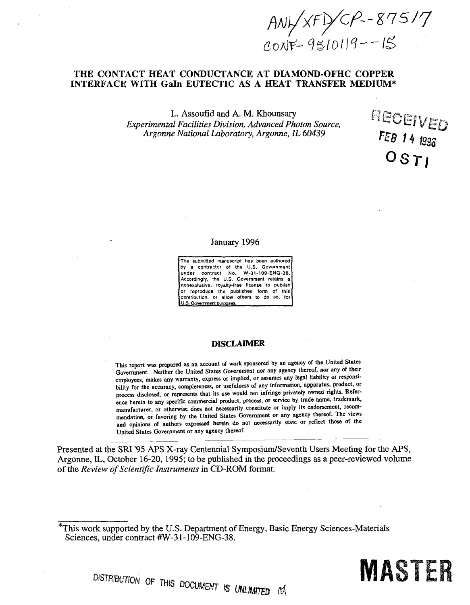$AW/xF/CP - 875/7$ <br>CONF-95/0119--15

**RECEIVED** 

*FEB U <sup>1323</sup>*

 $\sigma$ *ST* 

### **THE CONTACT HEAT CONDUCTANCE AT DIAMOND-OFHC COPPER INTERFACE WITH Gain EUTECTIC AS A HEAT TRANSFER MEDIUM\***

L. Assoufid and A. M. Khounsary *Experimental Facilities Division, Advanced Photon Source, Argonne National Laboratory, Argonne, IL 60439* 

January 1996

The submitted manuscript has been authored by a contractor of the U.S. Government under contract No. W-31-109-ENG-38. Accordingly, the U.S. Government retains a nonexclusive, royalty-free license to publish or reproduce the published form of this contribution, or allow others to do so, for U.S. Government purposes.

### **DISCLAIMER**

This report was prepared as an account of work sponsored by an agency of the United States Government. Neither the United States Government nor any agency thereof, nor any of their employees, makes any warranty, express or implied, or assumes any legal liability or responsibility for the accuracy, completeness, or usefulness of any information, apparatus, product, or process disclosed, or represents that its use would not infringe privately owned rights. Reference herein to any specific commercial product, process, or service by trade name, trademark, manufacturer, or otherwise does not necessarily constitute or imply its endorsement, recommendation, or favoring by the United States Government or any agency thereof. The views and opinions of authors expressed herein do not necessarily state or reflect those of the United States Government or any agency thereof.

Presented at the SRI '95 APS X-ray Centennial Symposium/Seventh Users Meeting for the APS, Argonne, IL, October 16-20, 1995; to be published in the proceedings as a peer-reviewed volume of the *Review of Scientific Instruments* in CD-ROM format.

ISTRIBUTION OF THIS DOCUMENT IS UNLIMITED CO



This work supported by the U.S. Department of Energy, Basic Energy Sciences-Materials Sciences, under contract #W-31-109-ENG-38.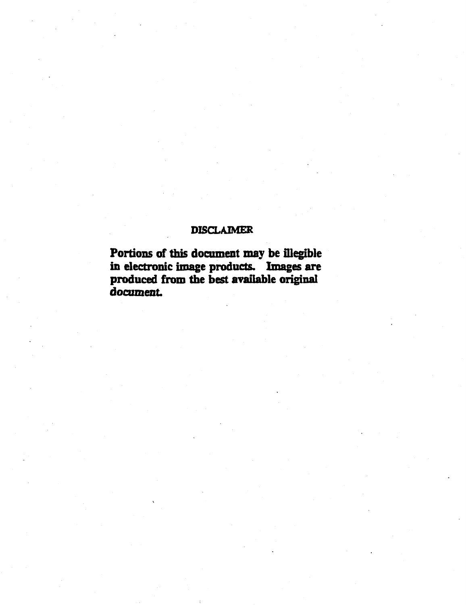# **DISCLAIMER**

**Portions of this document may be fllegible in electronic image products. Images are produced from the best available original document**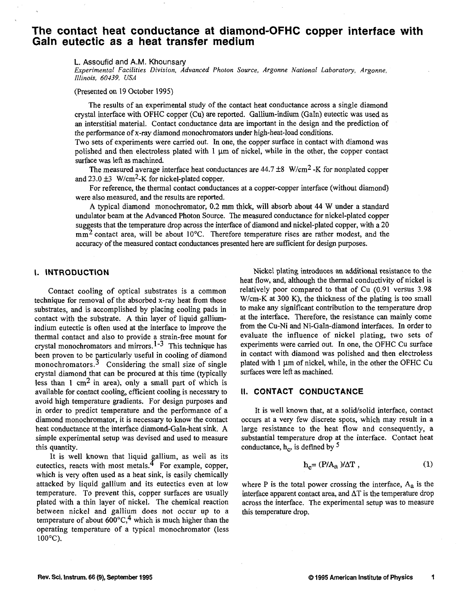## **The contact heat conductance at diamond-OFHC copper interface with Gain eutectic as a heat transfer medium**

L. Assoufid and A.M. Khounsary

*Experimental Facilities Division, Advanced Photon Source, Argonne National Laboratory, Argonne, Illinois, 60439, USA* 

(Presented on 19 October 1995)

The results of an experimental study of the contact heat conductance across a single diamond crystal interface with OFHC copper (Cu) are reported. Gallium-indium (Gain) eutectic was used as an interstitial material. Contact conductance data are important in the design and the prediction of the performance of x-ray diamond monochromators under high-heat-load conditions.

Two sets of experiments were carried out. In one, the copper surface in contact with diamond was polished and then electroless plated with  $1 \mu m$  of nickel, while in the other, the copper contact surface was left as machined.

The measured average interface heat conductances are  $44.7 \pm 8$  W/cm<sup>2</sup> -K for nonplated copper and  $23.0 \pm 3$  W/cm<sup>2</sup>-K for nickel-plated copper.

For reference, the thermal contact conductances at a copper-copper interface (without diamond) were also measured, and the results are reported.

A typical diamond monochromator, 0.2 mm thick, will absorb about 44 W under a standard undulator beam at the Advanced Photon Source. The measured conductance for nickel-plated copper suggests that the temperature drop across the interface of diamond and nickel-plated copper, with a 20  $mm<sup>2</sup>$  contact area, will be about 10 $°C$ . Therefore temperature rises are rather modest, and the accuracy of the measured contact conductances presented here are sufficient for design purposes.

### **I. INTRODUCTION**

Contact cooling of optical substrates is a common technique for removal of the absorbed x-ray heat from those substrates, and is accomplished by placing cooling pads in contact with the substrate. A thin layer of liquid galliumindium eutectic is often used at the interface to improve the thermal contact and also to provide a strain-free mount for crystal monochromators and mirrors.<sup>1-3</sup> This technique has been proven to be particularly useful in cooling of diamond monochromators. $3$  Considering the small size of single crystal diamond that can be procured at this time (typically less than 1 cm<sup>2</sup> in area), only a small part of which is available for contact cooling, efficient cooling is necessary to avoid high temperature gradients. For design purposes and in order to predict temperature and the performance of a diamond monochromator, it is necessary to know the contact heat conductance at the interface diamond-Galn-heat sink. A simple experimental setup was devised and used to measure this quantity.

It is well known that liquid gallium, as well as its eutectics, reacts with most metals. $<sup>4</sup>$  For example, copper,</sup> which is very often used as a heat sink, is easily chemically attacked by liquid gallium and its eutectics even at low temperature. To prevent this, copper surfaces are usually plated with a thin layer of nickel. The chemical reaction between nickel and gallium does not occur up to a temperature of about  $600^{\circ}$ C,<sup>4</sup> which is much higher than the operating temperature of a typical monochromator (less 100°C).

Nickel plating introduces an additional resistance to the heat flow, and, although the thermal conductivity of nickel is relatively poor compared to that of Cu (0.91 versus 3.98 W/cm-K at 300 K), the thickness of the plating is too small to make any significant contribution to the temperature drop at the interface. Therefore, the resistance can mainly come from the Cu-Ni and Ni-Galn-diamond interfaces. In order to evaluate the influence of nickel plating, two sets of experiments were carried out. In one, the OFHC Cu surface in contact with diamond was polished and then electroless plated with  $1 \mu m$  of nickel, while, in the other the OFHC Cu surfaces were left as machined.

### II. CONTACT CONDUCTANCE

It is well known that, at a solid/solid interface, contact occurs at a very few discrete spots, which may result in a large resistance to the heat flow and consequently, a substantial temperature drop at the interface. Contact heat conductance,  $h_c$ , is defined by  $\frac{5}{3}$ 

$$
h_c = (P/A_a)/\Delta T, \qquad (1)
$$

where  $P$  is the total power crossing the interface,  $A_a$  is the interface apparent contact area, and  $\Delta T$  is the temperature drop across the interface. The experimental setup was to measure this temperature drop.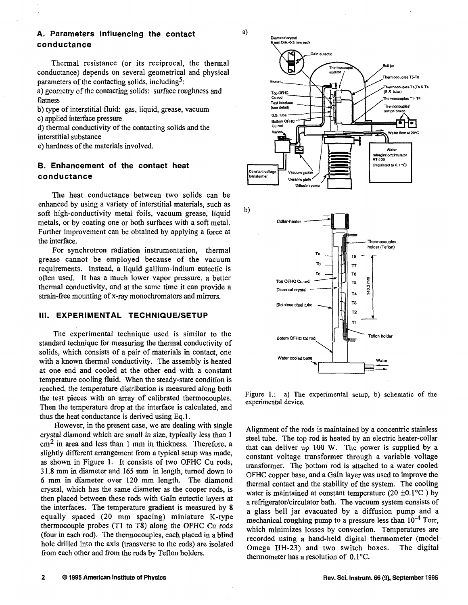### **A. Parameters influencing the contact conductance**

Thermal resistance (or its reciprocal, the thermal conductance) depends on several geometrical and physical parameters of the contacting solids, including<sup>5</sup>:

a) geometry of the contacting solids: surface roughness and flatness

b) type of interstitial fluid: gas, liquid, grease, vacuum c) applied interface pressure

d) thermal conductivity of the contacting solids and the interstitial substance

e) hardness of the materials involved.

### **B. Enhancement of the contact heat conductance**

The heat conductance between two solids can be enhanced by using a variety of interstitial materials, such as soft high-conductivity metal foils, vacuum grease, liquid metals, or by coating one or both surfaces with a soft metal. Further improvement can be obtained by applying a force at the interface.

For synchrotron radiation instrumentation, thermal grease cannot be employed because of the vacuum requirements. Instead, a liquid gallium-indium eutectic is often used. It has a much lower vapor pressure, a better thermal conductivity, and at the same time it can provide a strain-free mounting of x-ray monochromators and mirrors.

### **III. EXPERIMENTAL TECHNIQUE/SETUP**

The experimental technique used is similar to the standard technique for measuring the thermal conductivity of solids, which consists of a pair of materials in contact, one with a known thermal conductivity. The assembly is heated at one end and cooled at the other end with a constant temperature cooling fluid. When the steady-state condition is reached, the temperature distribution is measured along both the test pieces with an array of calibrated thermocouples. Then the temperature drop at the interface is calculated, and thus the heat conductance is derived using Eq.l.

However, in the present case, we are dealing with single crystal diamond which are small in size, typically less than 1  $\text{cm}^2$  in area and less than 1 mm in thickness. Therefore, a slightly different arrangement from a typical setup was made, as shown in Figure 1. It consists of two OFHC Cu rods, 31.8 mm in diameter and 165 mm in length, turned down to 6 mm in diameter over 120 mm length. The diamond crystal, which has the same diameter as the cooper rods, is then placed between these rods with Gain eutectic layers at the interfaces. The temperature gradient is measured by 8 equally spaced (20 mm spacing) miniature K-type thermocouple probes (Tl to T8) along the OFHC Cu rods (four in each rod). The thermocouples, each placed in a blind hole drilled into the axis (transverse to the rods) are isolated from each other and from the rods by Teflon holders.





Figure 1.: a) The experimental setup, b) schematic of the experimental device.

Alignment of the rods is maintained by a concentric stainless steel tube. The top rod is heated by an electric heater-collar that can deliver up 100 W. The power is supplied by a constant voltage transformer through a variable voltage transformer. The bottom rod is attached to a water cooled OFHC copper base, and a Gain layer was used to improve the thermal contact and the stability of the system. The cooling water is maintained at constant temperature (20  $\pm$ 0.1 $\degree$ C) by a refrigerator/circulator bath. The vacuum system consists of a glass bell jar evacuated by a diffusion pump and a mechanical roughing pump to a pressure less than  $10^{-4}$  Torr, which minimizes losses by convection. Temperatures are recorded using a hand-held digital thermometer (model Omega HH-23) and two switch boxes. The digital thermometer has a resolution of  $0.1^{\circ}$ C.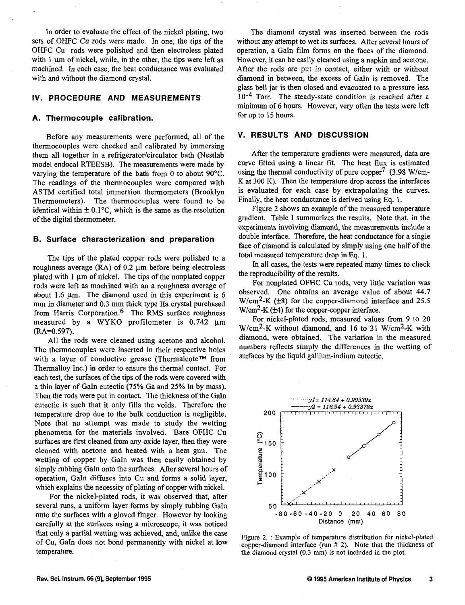In order to evaluate the effect of the nickel plating, two sets of OHFC Cu rods were made. In one, the tips of the OHFC Cu rods were polished and then electroless plated with 1 um of nickel, while, in the other, the tips were left as machined. In each case, the heat conductance was evaluated with and without the diamond crystal.

### **IV. PROCEDURE AND MEASUREMENTS**

### **A. Thermocouple calibration.**

Before any measurements were performed, all of the thermocouples were checked and calibrated by immersing them all together in a refrigerator/circulator bath (Nestlab model endocal RTEESB). The measurements were made by varying the temperature of the bath from 0 to about 90°C. The readings of the thermocouples were compared with ASTM certified total immersion thermometers (Brooklyn Thermometers). The thermocouples were found to be identical within  $\pm 0.1$ °C, which is the same as the resolution of the digital thermometer.

### **B. Surface characterization and preparation**

The tips of the plated copper rods were polished to a roughness average  $(RA)$  of 0.2  $\mu$ m before being electroless plated with  $1 \mu \text{m}$  of nickel. The tips of the nonplated copper rods were left as machined with an a roughness average of about 1.6  $\mu$ m. The diamond used in this experiment is 6 mm in diameter and 0.3 mm thick type Ha crystal purchased from Harris Corporation.<sup>6</sup> The RMS surface roughness measured by a WYKO profilometer is  $0.742 \mu m$ (RA=0.597).

All the rods were cleaned using acetone and alcohol. The thermocouples were inserted in their respective holes with a layer of conductive grease (Thermalcote™ from Thermalloy Inc.) in order to ensure the thermal contact. For each test, the surfaces of the tips of the rods were covered with a thin layer of GaIn eutectic (75% Ga and 25% In by mass). Then the rods were put in contact. The thickness of the GaIn eutectic is such that it only fills the voids. Therefore the temperature drop due to the bulk conduction is negligible. Note that no attempt was made to study the wetting phenomena for the materials involved. Bare OFHC Cu surfaces are first cleaned from any oxide layer, then they were cleaned with acetone and heated with a heat gun. The wetting of copper by GaIn was then easily obtained by simply rubbing GaIn onto the surfaces. After several hours of operation, Gain diffuses into Cu and forms a solid layer, which explains the necessity of plating of copper with nickel.

For the nickel-plated rods, it was observed that, after several runs, a uniform layer forms by simply rubbing GaIn onto the surfaces with a gloved finger. However by looking carefully at the surfaces using a microscope, it was noticed that only a partial wetting was achieved, and, unlike the case of Cu, GaIn does not bond permanently with nickel at low temperature.

The diamond crystal was inserted between the rods without any attempt to wet its surfaces. After several hours of operation, a Gain film forms on the faces of the diamond. However, it can be easily cleaned using a napkin and acetone. After the rods are put in contact, either with or without diamond in between, the excess of Gain is removed. The glass bell jar is then closed and evacuated to a pressure less 10<sup>-4</sup> Torr. The steady-state condition is reached after a minimum of 6 hours. However, very often the tests were left for up to 15 hours.

#### **V. RESULTS AND DISCUSSION**

After the temperature gradients were measured, data are curve fitted using a linear fit. The heat flux is estimated using the thermal conductivity of pure copper<sup> $\prime$ </sup> (3.98 W/cm-K at 300 K). Then the temperature drop across the interfaces is evaluated for each case by extrapolating the curves. Finally, the heat conductance is derived using Eq. 1.

Figure 2 shows an example of the measured temperature gradient. Table I summarizes the results. Note that, in the experiments involving diamond, the measurements include a double interface. Therefore, the heat conductance for a single face of diamond is calculated by simply using one half of the total measured temperature drop in Eq. 1.

In all cases, the tests were repeated many times to check the reproducibility of the results.

For nonplated OFHC Cu rods, very little variation was observed. One obtains an average value of about 44.7 W/cm<sup>2</sup>-K (±8) for the copper-diamond interface and 25.5 W/cm<sup>2</sup>-K (±4) for the copper-copper interface.

For nickel-plated rods, measured values from 9 to 20  $W/cm^2-K$  without diamond, and 16 to 31  $W/cm^2-K$  with diamond, were obtained. The variation in the measured numbers reflects simply the differences in the wetting of surfaces by the liquid gallium-indium eutectic.



Figure 2. : Example of temperature distribution for nickel-plated copper-diamond interface (run # 2). Note that the thickness of the diamond crystal (0.3 mm) is not included in the plot.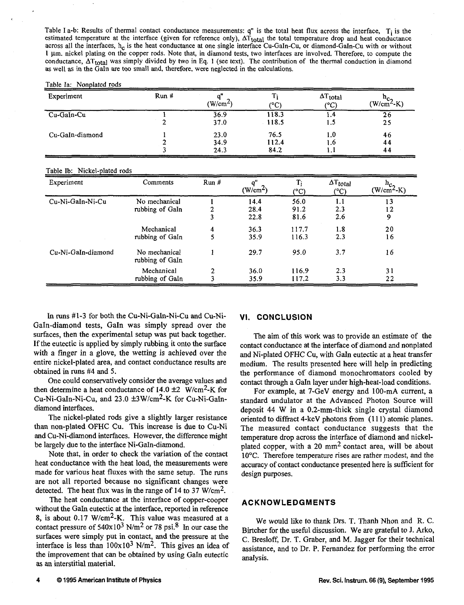Table I a-b: Results of thermal contact conductance measurements:  $q''$  is the total heat flux across the interface,  $T_i$  is the estimated temperature at the interface (given for reference only),  $\Delta T_{total}$  the total temperature drop and heat conductance across all the interfaces,  $h_c$  is the heat conductance at one single interface Cu-GaIn-Cu, or diamond-GaIn-Cu with or without 1 urn. nickel plating on the copper rods. Note that, in diamond tests, two interfaces are involved. Therefore, to compute the conductance,  $\Delta T_{total}$  was simply divided by two in Eq. 1 (see text). The contribution of the thermal conduction in diamond as well as in the Gain are too small and, therefore, were neglected in the calculations.

#### Table la: Nonplated rods

| Experiment      | Run# | $(W/cm^2)$           | (°C)                  | $\Delta T_{total}$<br>(°C) | $(W/cmnc2$ -K) |
|-----------------|------|----------------------|-----------------------|----------------------------|----------------|
| Cu-GaIn-Cu      |      | 36.9<br>37.0         | 118.3<br>118.5        | 1.4<br>1.5                 | 26<br>25       |
| Cu-GaIn-diamond |      | 23.0<br>34.9<br>24.3 | 76.5<br>112.4<br>84.2 | 1.0<br>l.b<br>1.           | 46<br>44<br>44 |

#### Table lb: Nickel-plated rods

| Experiment         | Comments                         | Run# | o"<br>$(W/cm^2)$     | Ti<br>$(^{\circ}C)$  | $\Delta T_{total}$<br>(°C) | $\frac{h_{c2}}{(W/cm^{2}-K)}$ |
|--------------------|----------------------------------|------|----------------------|----------------------|----------------------------|-------------------------------|
| Cu-Ni-GaIn-Ni-Cu   | No mechanical<br>rubbing of GaIn |      | 14.4<br>28.4<br>22.8 | 56.0<br>91.2<br>81.6 | 1.1<br>2.3<br>2.6          | 13<br>12<br>9                 |
|                    | Mechanical<br>rubbing of GaIn    | 4    | 36.3<br>35.9         | 117.7<br>116.3       | 1.8<br>2.3                 | 20<br>16                      |
| Cu-Ni-GaIn-diamond | No mechanical<br>rubbing of GaIn |      | 29.7                 | 95.0                 | 3.7                        | 16                            |
|                    | Mechanical<br>rubbing of GaIn    | 2    | 36.0<br>35.9         | 116.9<br>117.2       | 2.3<br>3.3                 | 31<br>22                      |

In runs #1-3 for both the Cu-Ni-Galn-Ni-Cu and Cu-Ni-GaIn-diamond tests, GaIn was simply spread over the surfaces, then the experimental setup was put back together. If the eutectic is applied by simply rubbing it onto the surface with a finger in a glove, the wetting is achieved over the entire nickel-plated area, and contact conductance results are obtained in runs #4 and 5.

One could conservatively consider the average values and then determine a heat conductance of  $14.0 \pm 2$  W/cm<sup>2</sup>-K for Cu-Ni-Galn-Ni-Cu, and 23.0 ±3W/cm<sup>2</sup> -K for Cu-Ni-Galndiamond interfaces.

The nickel-plated rods give a slightly larger resistance than non-plated OFHC Cu. This increase is due to Cu-Ni and Cu-Ni-diamond interfaces. However, the difference might be largely due to the interface Ni-Galn-diamond.

Note that, in order to check the variation of the contact heat conductance with the heat load, the measurements were made for various heat fluxes with the same setup. The runs are not all reported because no significant changes were detected. The heat flux was in the range of 14 to 37 W/cm<sup>2</sup>.

The heat conductance at the interface of copper-cooper without the GaIn eutectic at the interface, reported in reference 8, is about  $0.17 \text{ W/cm}^2$ -K. This value was measured at a contact pressure of  $540x10^3$  N/m<sup>2</sup> or 78 psi.<sup>8</sup> In our case the surfaces were simply put in contact, and the pressure at the interface is less than  $100x10^3$  N/m<sup>2</sup>. This gives an idea of the improvement that can be obtained by using Gain eutectic as an interstitial material.

#### **VI. CONCLUSION**

The aim of this work was to provide an estimate of the contact conductance at the interface of diamond and nonplated and Ni-plated OFHC Cu, with GaIn eutectic at a heat transfer medium. The results presented here will help in predicting the performance of diamond monochromators cooled by contact through a Gain layer under high-heat-load conditions.

For example, at 7-GeV energy and 100-mA current, a standard undulator at the Advanced Photon Source will deposit 44 W in a 0.2-mm-thick single crystal diamond oriented to diffract 4-keV photons from (111) atomic planes. The measured contact conductance suggests that the temperature drop across the interface of diamond and nickelplated copper, with a 20  $mm<sup>2</sup>$  contact area, will be about 10°C. Therefore temperature rises are rather modest, and the accuracy of contact conductance presented here is sufficient for design purposes.

### **ACKNOWLEDGMENTS**

We would like to thank Drs. T. Thanh Nhon and R. C. Birtcher for the useful discussion. We are grateful to J. Arko, C. Bresloff, Dr. T. Graber, and M. Jagger for their technical assistance, and to Dr. P. Fernandez for performing the error analysis.